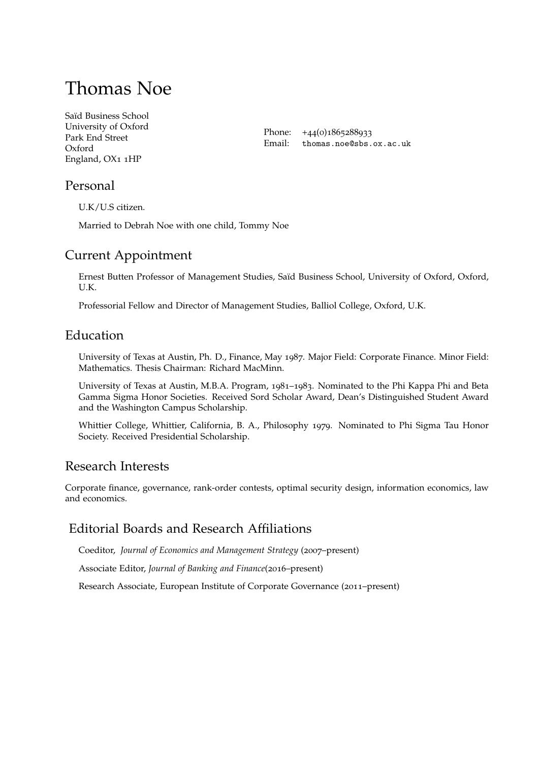# Thomas Noe

[Saïd Business School](http://www.sbs.ox.ac.uk)  University of Oxford Park End Street Oxford England, OX1 1HP

Phone: +44(0)1865288933 Email: [thomas.noe@sbs.ox.ac.uk](mailto:thomas.noe@sbs.ox.ac.uk)

# Personal

U.K/U.S citizen.

Married to Debrah Noe with one child, Tommy Noe

# Current Appointment

Ernest Butten Professor of Management Studies, Saïd Business School, University of Oxford, Oxford, U.K.

Professorial Fellow and Director of Management Studies, Balliol College, Oxford, U.K.

# Education

University of Texas at Austin, Ph. D., Finance, May 1987. Major Field: Corporate Finance. Minor Field: Mathematics. Thesis Chairman: Richard MacMinn.

University of Texas at Austin, M.B.A. Program, 1981–1983. Nominated to the Phi Kappa Phi and Beta Gamma Sigma Honor Societies. Received Sord Scholar Award, Dean's Distinguished Student Award and the Washington Campus Scholarship.

Whittier College, Whittier, California, B. A., Philosophy 1979. Nominated to Phi Sigma Tau Honor Society. Received Presidential Scholarship.

# Research Interests

Corporate fnance, governance, rank-order contests, optimal security design, information economics, law and economics.

# Editorial Boards and Research Affliations

Coeditor, *Journal of Economics and Management Strategy* (2007–present)

Associate Editor, *Journal of Banking and Finance*(2016–present)

Research Associate, European Institute of Corporate Governance (2011–present)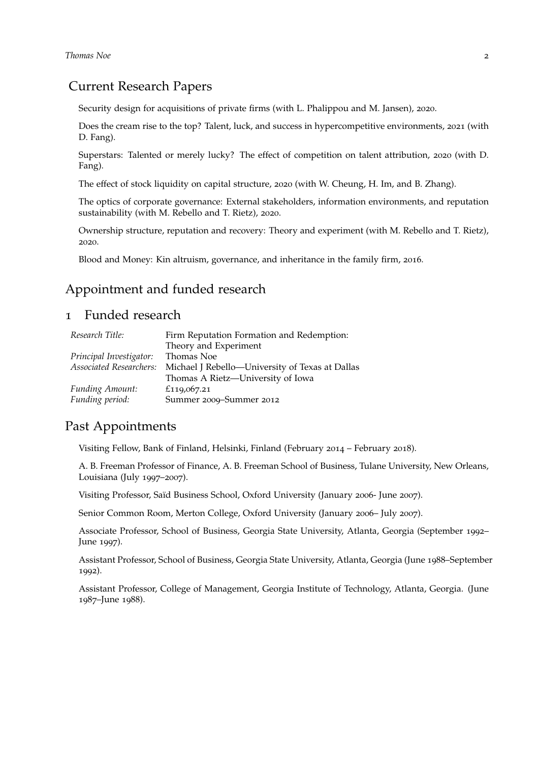## Current Research Papers

Security design for acquisitions of private frms (with L. Phalippou and M. Jansen), 2020.

Does the cream rise to the top? Talent, luck, and success in hypercompetitive environments, 2021 (with D. Fang).

Superstars: Talented or merely lucky? The effect of competition on talent attribution, 2020 (with D. Fang).

The effect of stock liquidity on capital structure, 2020 (with W. Cheung, H. Im, and B. Zhang).

The optics of corporate governance: External stakeholders, information environments, and reputation sustainability (with M. Rebello and T. Rietz), 2020.

Ownership structure, reputation and recovery: Theory and experiment (with M. Rebello and T. Rietz), 2020.

Blood and Money: Kin altruism, governance, and inheritance in the family firm, 2016.

## Appointment and funded research

## 1 Funded research

| Research Title:                | Firm Reputation Formation and Redemption:       |
|--------------------------------|-------------------------------------------------|
|                                | Theory and Experiment                           |
| Principal Investigator:        | Thomas Noe                                      |
| <b>Associated Researchers:</b> | Michael J Rebello—University of Texas at Dallas |
|                                | Thomas A Rietz-University of Iowa               |
| <b>Funding Amount:</b>         | £119,067.21                                     |
| Funding period:                | Summer 2009-Summer 2012                         |

# Past Appointments

Visiting Fellow, Bank of Finland, Helsinki, Finland (February 2014 – February 2018).

A. B. Freeman Professor of Finance, A. B. Freeman School of Business, Tulane University, New Orleans, Louisiana (July 1997–2007).

Visiting Professor, Saïd Business School, Oxford University (January 2006- June 2007).

Senior Common Room, Merton College, Oxford University (January 2006– July 2007).

Associate Professor, School of Business, Georgia State University, Atlanta, Georgia (September 1992– June 1997).

Assistant Professor, School of Business, Georgia State University, Atlanta, Georgia (June 1988–September 1992).

Assistant Professor, College of Management, Georgia Institute of Technology, Atlanta, Georgia. (June 1987–June 1988).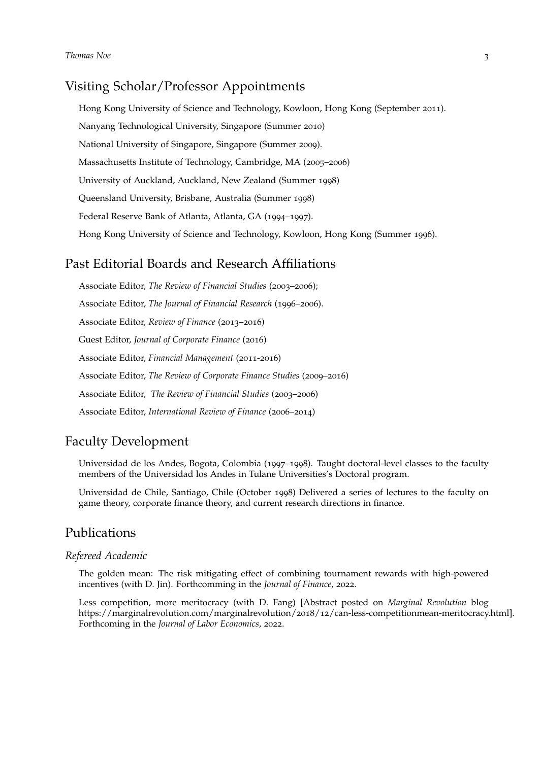## Visiting Scholar/Professor Appointments

Hong Kong University of Science and Technology, Kowloon, Hong Kong (September 2011). Nanyang Technological University, Singapore (Summer 2010) National University of Singapore, Singapore (Summer 2009). Massachusetts Institute of Technology, Cambridge, MA (2005–2006) University of Auckland, Auckland, New Zealand (Summer 1998) Queensland University, Brisbane, Australia (Summer 1998) Federal Reserve Bank of Atlanta, Atlanta, GA (1994–1997). Hong Kong University of Science and Technology, Kowloon, Hong Kong (Summer 1996).

## Past Editorial Boards and Research Affliations

Associate Editor, *The Review of Financial Studies* (2003–2006); Associate Editor, *The Journal of Financial Research* (1996–2006). Associate Editor, *Review of Finance* (2013–2016) Guest Editor, *Journal of Corporate Finance* (2016) Associate Editor, *Financial Management* (2011-2016) Associate Editor, *The Review of Corporate Finance Studies* (2009–2016) Associate Editor, *The Review of Financial Studies* (2003–2006) Associate Editor, *International Review of Finance* (2006–2014)

# Faculty Development

Universidad de los Andes, Bogota, Colombia (1997–1998). Taught doctoral-level classes to the faculty members of the Universidad los Andes in Tulane Universities's Doctoral program.

Universidad de Chile, Santiago, Chile (October 1998) Delivered a series of lectures to the faculty on game theory, corporate fnance theory, and current research directions in fnance.

## Publications

#### *Refereed Academic*

The golden mean: The risk mitigating effect of combining tournament rewards with high-powered incentives (with D. Jin). Forthcomming in the *Journal of Finance*, 2022.

Less competition, more meritocracy (with D. Fang) [Abstract posted on *Marginal Revolution* blog [https://marginalrevolution.com/marginalrevolution/](https://marginalrevolution.com/marginalrevolution/2018/12/can-less-competitionmean-meritocracy.html)2018/12/can-less-competitionmean-meritocracy.html]. Forthcoming in the *Journal of Labor Economics*, 2022.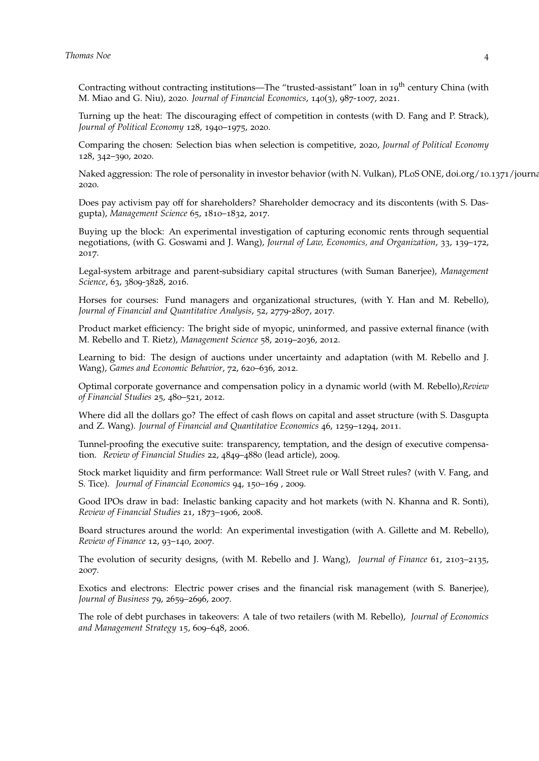Contracting without contracting institutions—The "trusted-assistant" loan in 19<sup>th</sup> century China (with M. Miao and G. Niu), 2020. *Journal of Financial Economics*, 140(3), 987-1007, 2021.

Turning up the heat: The discouraging effect of competition in contests (with D. Fang and P. Strack), *Journal of Political Economy* 128, 1940–1975, 2020.

Comparing the chosen: Selection bias when selection is competitive, 2020, *Journal of Political Economy* 128, 342–390, 2020.

Naked aggression: The role of personality in investor behavior (with N. Vulkan), PLoS ONE, doi.org/10.1371/journa 2020.

Does pay activism pay off for shareholders? Shareholder democracy and its discontents (with S. Dasgupta), *Management Science* 65, 1810–1832, 2017.

Buying up the block: An experimental investigation of capturing economic rents through sequential negotiations, (with G. Goswami and J. Wang), *Journal of Law, Economics, and Organization*, 33, 139–172, 2017.

Legal-system arbitrage and parent-subsidiary capital structures (with Suman Banerjee), *Management Science*, 63, 3809-3828, 2016.

Horses for courses: Fund managers and organizational structures, (with Y. Han and M. Rebello), *Journal of Financial and Quantitative Analysis*, 52, 2779-2807, 2017.

Product market efficiency: The bright side of myopic, uninformed, and passive external finance (with M. Rebello and T. Rietz), *Management Science* 58, 2019–2036, 2012.

Learning to bid: The design of auctions under uncertainty and adaptation (with M. Rebello and J. Wang), *Games and Economic Behavior*, 72, 620–636, 2012.

Optimal corporate governance and compensation policy in a dynamic world (with M. Rebello),*Review of Financial Studies* 25, 480–521, 2012.

Where did all the dollars go? The effect of cash fows on capital and asset structure (with S. Dasgupta and Z. Wang). *Journal of Financial and Quantitative Economics* 46, 1259–1294, 2011.

Tunnel-proofing the executive suite: transparency, temptation, and the design of executive compensation. *Review of Financial Studies* 22, 4849–4880 (lead article), 2009.

Stock market liquidity and frm performance: Wall Street rule or Wall Street rules? (with V. Fang, and S. Tice). *Journal of Financial Economics* 94, 150–169 , 2009.

Good IPOs draw in bad: Inelastic banking capacity and hot markets (with N. Khanna and R. Sonti), *Review of Financial Studies* 21, 1873–1906, 2008.

Board structures around the world: An experimental investigation (with A. Gillette and M. Rebello), *Review of Finance* 12, 93–140, 2007.

The evolution of security designs, (with M. Rebello and J. Wang), *Journal of Finance* 61, 2103–2135, 2007.

Exotics and electrons: Electric power crises and the fnancial risk management (with S. Banerjee), *Journal of Business* 79, 2659–2696, 2007.

The role of debt purchases in takeovers: A tale of two retailers (with M. Rebello), *Journal of Economics and Management Strategy* 15, 609–648, 2006.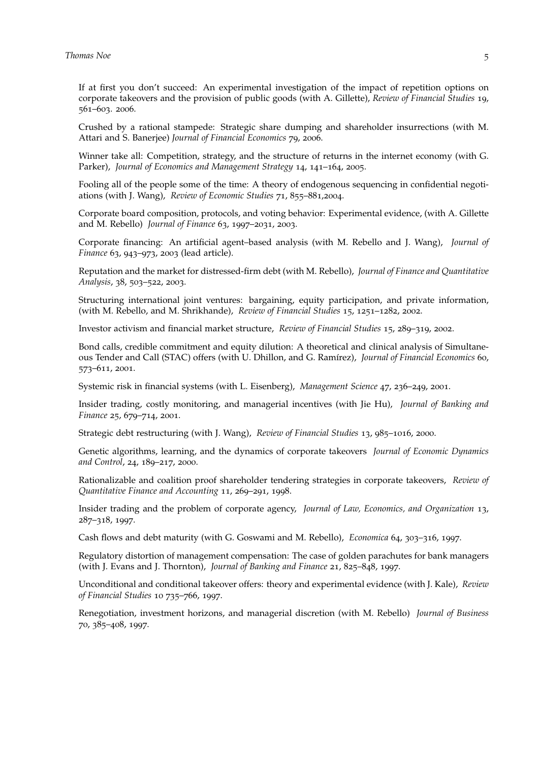If at frst you don't succeed: An experimental investigation of the impact of repetition options on corporate takeovers and the provision of public goods (with A. Gillette), *Review of Financial Studies* 19, 561–603. 2006.

Crushed by a rational stampede: Strategic share dumping and shareholder insurrections (with M. Attari and S. Banerjee) *Journal of Financial Economics* 79, 2006.

Winner take all: Competition, strategy, and the structure of returns in the internet economy (with G. Parker), *Journal of Economics and Management Strategy* 14, 141–164, 2005.

Fooling all of the people some of the time: A theory of endogenous sequencing in confidential negotiations (with J. Wang), *Review of Economic Studies* 71, 855–881,2004.

Corporate board composition, protocols, and voting behavior: Experimental evidence, (with A. Gillette and M. Rebello) *Journal of Finance* 63, 1997–2031, 2003.

Corporate fnancing: An artifcial agent–based analysis (with M. Rebello and J. Wang), *Journal of Finance* 63, 943–973, 2003 (lead article).

Reputation and the market for distressed-frm debt (with M. Rebello), *Journal of Finance and Quantitative Analysis*, 38, 503–522, 2003.

Structuring international joint ventures: bargaining, equity participation, and private information, (with M. Rebello, and M. Shrikhande), *Review of Financial Studies* 15, 1251–1282, 2002.

Investor activism and fnancial market structure, *Review of Financial Studies* 15, 289–319, 2002.

Bond calls, credible commitment and equity dilution: A theoretical and clinical analysis of Simultaneous Tender and Call (STAC) offers (with U. Dhillon, and G. Ramírez), *Journal of Financial Economics* 60, 573–611, 2001.

Systemic risk in fnancial systems (with L. Eisenberg), *Management Science* 47, 236–249, 2001.

Insider trading, costly monitoring, and managerial incentives (with Jie Hu), *Journal of Banking and Finance* 25, 679–714, 2001.

Strategic debt restructuring (with J. Wang), *Review of Financial Studies* 13, 985–1016, 2000.

Genetic algorithms, learning, and the dynamics of corporate takeovers *Journal of Economic Dynamics and Control*, 24, 189–217, 2000.

Rationalizable and coalition proof shareholder tendering strategies in corporate takeovers, *Review of Quantitative Finance and Accounting* 11, 269–291, 1998.

Insider trading and the problem of corporate agency, *Journal of Law, Economics, and Organization* 13, 287–318, 1997.

Cash fows and debt maturity (with G. Goswami and M. Rebello), *Economica* 64, 303–316, 1997.

Regulatory distortion of management compensation: The case of golden parachutes for bank managers (with J. Evans and J. Thornton), *Journal of Banking and Finance* 21, 825–848, 1997.

Unconditional and conditional takeover offers: theory and experimental evidence (with J. Kale), *Review of Financial Studies* 10 735–766, 1997.

Renegotiation, investment horizons, and managerial discretion (with M. Rebello) *Journal of Business* 70, 385–408, 1997.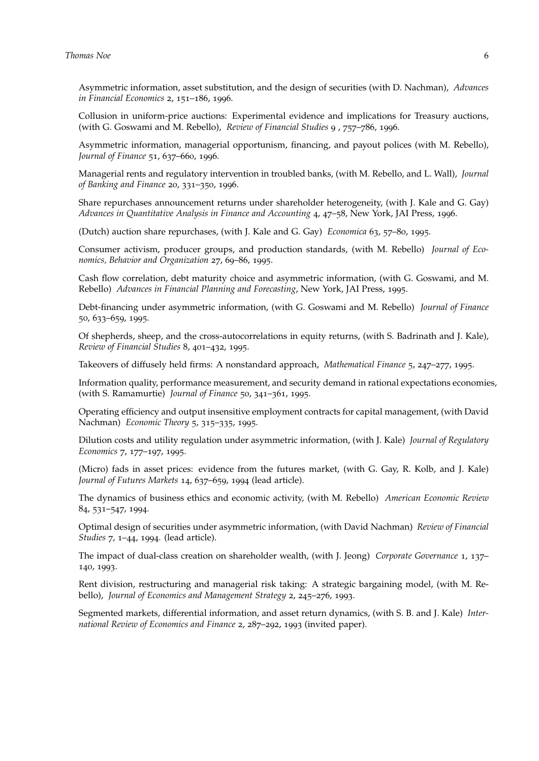Asymmetric information, asset substitution, and the design of securities (with D. Nachman), *Advances in Financial Economics* 2, 151–186, 1996.

Collusion in uniform-price auctions: Experimental evidence and implications for Treasury auctions, (with G. Goswami and M. Rebello), *Review of Financial Studies* 9 , 757–786, 1996.

Asymmetric information, managerial opportunism, fnancing, and payout polices (with M. Rebello), *Journal of Finance* 51, 637–660, 1996.

Managerial rents and regulatory intervention in troubled banks, (with M. Rebello, and L. Wall), *Journal of Banking and Finance* 20, 331–350, 1996.

Share repurchases announcement returns under shareholder heterogeneity, (with J. Kale and G. Gay) *Advances in Quantitative Analysis in Finance and Accounting* 4, 47–58, New York, JAI Press, 1996.

(Dutch) auction share repurchases, (with J. Kale and G. Gay) *Economica* 63, 57–80, 1995.

Consumer activism, producer groups, and production standards, (with M. Rebello) *Journal of Economics, Behavior and Organization* 27, 69–86, 1995.

Cash fow correlation, debt maturity choice and asymmetric information, (with G. Goswami, and M. Rebello) *Advances in Financial Planning and Forecasting*, New York, JAI Press, 1995.

Debt-fnancing under asymmetric information, (with G. Goswami and M. Rebello) *Journal of Finance* 50, 633–659, 1995.

Of shepherds, sheep, and the cross-autocorrelations in equity returns, (with S. Badrinath and J. Kale), *Review of Financial Studies* 8, 401–432, 1995.

Takeovers of diffusely held frms: A nonstandard approach, *Mathematical Finance* 5, 247–277, 1995.

Information quality, performance measurement, and security demand in rational expectations economies, (with S. Ramamurtie) *Journal of Finance* 50, 341–361, 1995.

Operating efficiency and output insensitive employment contracts for capital management, (with David Nachman) *Economic Theory* 5, 315–335, 1995.

Dilution costs and utility regulation under asymmetric information, (with J. Kale) *Journal of Regulatory Economics* 7, 177–197, 1995.

(Micro) fads in asset prices: evidence from the futures market, (with G. Gay, R. Kolb, and J. Kale) *Journal of Futures Markets* 14, 637–659, 1994 (lead article).

The dynamics of business ethics and economic activity, (with M. Rebello) *American Economic Review* 84, 531–547, 1994.

Optimal design of securities under asymmetric information, (with David Nachman) *Review of Financial Studies* 7, 1–44, 1994. (lead article).

The impact of dual-class creation on shareholder wealth, (with J. Jeong) *Corporate Governance* 1, 137– 140, 1993.

Rent division, restructuring and managerial risk taking: A strategic bargaining model, (with M. Rebello), *Journal of Economics and Management Strategy* 2, 245–276, 1993.

Segmented markets, differential information, and asset return dynamics, (with S. B. and J. Kale) *International Review of Economics and Finance* 2, 287–292, 1993 (invited paper).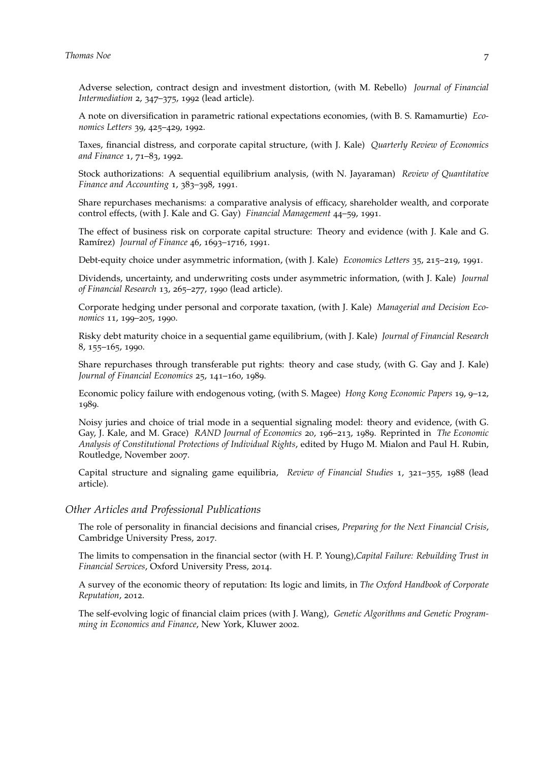Adverse selection, contract design and investment distortion, (with M. Rebello) *Journal of Financial Intermediation* 2, 347–375, 1992 (lead article).

A note on diversifcation in parametric rational expectations economies, (with B. S. Ramamurtie) *Economics Letters* 39, 425–429, 1992.

Taxes, fnancial distress, and corporate capital structure, (with J. Kale) *Quarterly Review of Economics and Finance* 1, 71–83, 1992.

Stock authorizations: A sequential equilibrium analysis, (with N. Jayaraman) *Review of Quantitative Finance and Accounting* 1, 383–398, 1991.

Share repurchases mechanisms: a comparative analysis of efficacy, shareholder wealth, and corporate control effects, (with J. Kale and G. Gay) *Financial Management* 44–59, 1991.

The effect of business risk on corporate capital structure: Theory and evidence (with J. Kale and G. Ramírez) *Journal of Finance* 46, 1693–1716, 1991.

Debt-equity choice under asymmetric information, (with J. Kale) *Economics Letters* 35, 215–219, 1991.

Dividends, uncertainty, and underwriting costs under asymmetric information, (with J. Kale) *Journal of Financial Research* 13, 265–277, 1990 (lead article).

Corporate hedging under personal and corporate taxation, (with J. Kale) *Managerial and Decision Economics* 11, 199–205, 1990.

Risky debt maturity choice in a sequential game equilibrium, (with J. Kale) *Journal of Financial Research* 8, 155–165, 1990.

Share repurchases through transferable put rights: theory and case study, (with G. Gay and J. Kale) *Journal of Financial Economics* 25, 141–160, 1989.

Economic policy failure with endogenous voting, (with S. Magee) *Hong Kong Economic Papers* 19, 9–12, 1989.

Noisy juries and choice of trial mode in a sequential signaling model: theory and evidence, (with G. Gay, J. Kale, and M. Grace) *RAND Journal of Economics* 20, 196–213, 1989. Reprinted in *The Economic Analysis of Constitutional Protections of Individual Rights*, edited by Hugo M. Mialon and Paul H. Rubin, Routledge, November 2007.

Capital structure and signaling game equilibria, *Review of Financial Studies* 1, 321–355, 1988 (lead article).

#### *Other Articles and Professional Publications*

The role of personality in fnancial decisions and fnancial crises, *Preparing for the Next Financial Crisis*, Cambridge University Press, 2017.

The limits to compensation in the fnancial sector (with H. P. Young),*Capital Failure: Rebuilding Trust in Financial Services*, Oxford University Press, 2014.

A survey of the economic theory of reputation: Its logic and limits, in *The Oxford Handbook of Corporate Reputation*, 2012.

The self-evolving logic of fnancial claim prices (with J. Wang), *Genetic Algorithms and Genetic Programming in Economics and Finance*, New York, Kluwer 2002.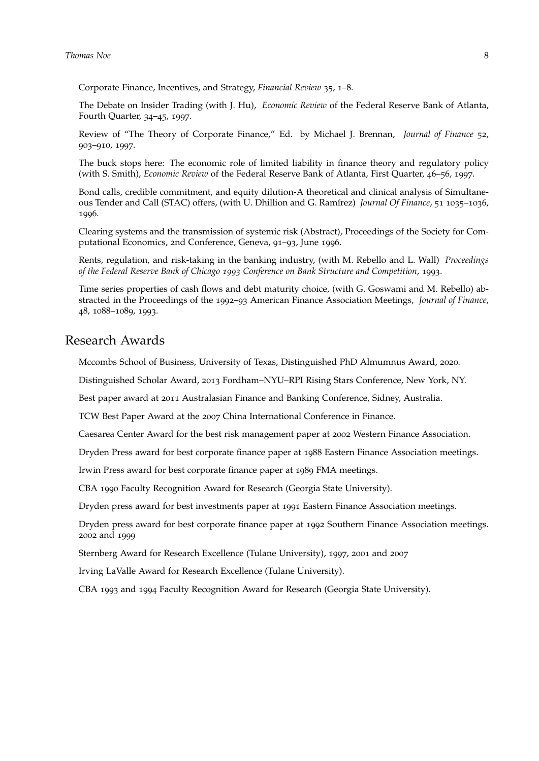#### **Thomas** Noe 8

Corporate Finance, Incentives, and Strategy, *Financial Review* 35, 1–8.

The Debate on Insider Trading (with J. Hu), *Economic Review* of the Federal Reserve Bank of Atlanta, Fourth Quarter, 34–45, 1997.

Review of "The Theory of Corporate Finance," Ed. by Michael J. Brennan, *Journal of Finance* 52, 903–910, 1997.

The buck stops here: The economic role of limited liability in fnance theory and regulatory policy (with S. Smith), *Economic Review* of the Federal Reserve Bank of Atlanta, First Quarter, 46–56, 1997.

Bond calls, credible commitment, and equity dilution-A theoretical and clinical analysis of Simultaneous Tender and Call (STAC) offers, (with U. Dhillion and G. Ramírez) *Journal Of Finance*, 51 1035–1036, 1996.

Clearing systems and the transmission of systemic risk (Abstract), Proceedings of the Society for Computational Economics, 2nd Conference, Geneva, 91–93, June 1996.

Rents, regulation, and risk-taking in the banking industry, (with M. Rebello and L. Wall) *Proceedings of the Federal Reserve Bank of Chicago 1993 Conference on Bank Structure and Competition*, 1993.

Time series properties of cash fows and debt maturity choice, (with G. Goswami and M. Rebello) abstracted in the Proceedings of the 1992–93 American Finance Association Meetings, *Journal of Finance*, 48, 1088–1089, 1993.

## Research Awards

Mccombs School of Business, University of Texas, Distinguished PhD Almumnus Award, 2020.

Distinguished Scholar Award, 2013 Fordham–NYU–RPI Rising Stars Conference, New York, NY.

Best paper award at 2011 Australasian Finance and Banking Conference, Sidney, Australia.

TCW Best Paper Award at the 2007 China International Conference in Finance.

Caesarea Center Award for the best risk management paper at 2002 Western Finance Association.

Dryden Press award for best corporate fnance paper at 1988 Eastern Finance Association meetings.

Irwin Press award for best corporate fnance paper at 1989 FMA meetings.

CBA 1990 Faculty Recognition Award for Research (Georgia State University).

Dryden press award for best investments paper at 1991 Eastern Finance Association meetings.

Dryden press award for best corporate fnance paper at 1992 Southern Finance Association meetings. 2002 and 1999

Sternberg Award for Research Excellence (Tulane University), 1997, 2001 and 2007

Irving LaValle Award for Research Excellence (Tulane University).

CBA 1993 and 1994 Faculty Recognition Award for Research (Georgia State University).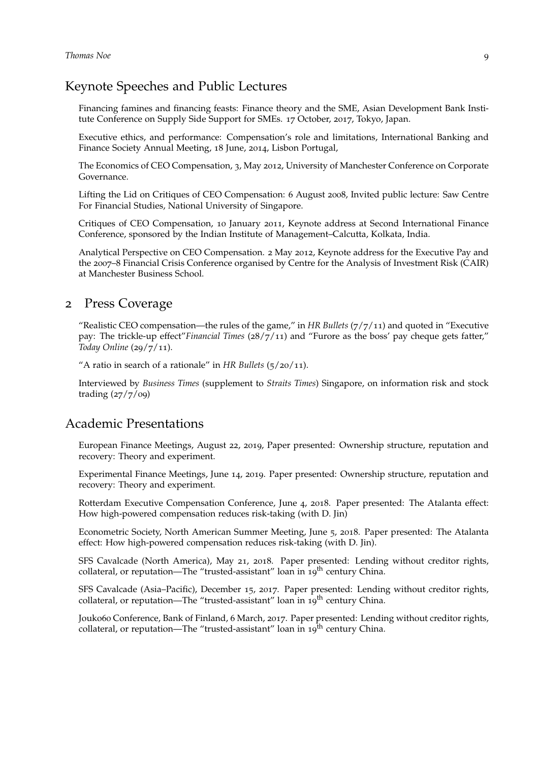# Keynote Speeches and Public Lectures

Financing famines and fnancing feasts: Finance theory and the SME, Asian Development Bank Institute Conference on Supply Side Support for SMEs. 17 October, 2017, Tokyo, Japan.

Executive ethics, and performance: Compensation's role and limitations, International Banking and Finance Society Annual Meeting, 18 June, 2014, Lisbon Portugal,

The Economics of CEO Compensation, 3, May 2012, University of Manchester Conference on Corporate Governance.

Lifting the Lid on Critiques of CEO Compensation: 6 August 2008, Invited public lecture: Saw Centre For Financial Studies, National University of Singapore.

Critiques of CEO Compensation, 10 January 2011, Keynote address at Second International Finance Conference, sponsored by the Indian Institute of Management–Calcutta, Kolkata, India.

Analytical Perspective on CEO Compensation. 2 May 2012, Keynote address for the Executive Pay and the 2007–8 Financial Crisis Conference organised by Centre for the Analysis of Investment Risk (CAIR) at Manchester Business School.

# 2 Press Coverage

"Realistic CEO compensation—the rules of the game," in *HR Bullets* (7/7/11) and quoted in "Executive pay: The trickle-up effect"*Financial Times* (28/7/11) and "Furore as the boss' pay cheque gets fatter," *Today Online* (29/7/11).

"A ratio in search of a rationale" in *HR Bullets* (5/20/11).

Interviewed by *Business Times* (supplement to *Straits Times*) Singapore, on information risk and stock trading (27/7/09)

#### Academic Presentations

European Finance Meetings, August 22, 2019, Paper presented: Ownership structure, reputation and recovery: Theory and experiment.

Experimental Finance Meetings, June 14, 2019. Paper presented: Ownership structure, reputation and recovery: Theory and experiment.

Rotterdam Executive Compensation Conference, June 4, 2018. Paper presented: The Atalanta effect: How high-powered compensation reduces risk-taking (with D. Jin)

Econometric Society, North American Summer Meeting, June 5, 2018. Paper presented: The Atalanta effect: How high-powered compensation reduces risk-taking (with D. Jin).

SFS Cavalcade (North America), May 21, 2018. Paper presented: Lending without creditor rights, collateral, or reputation—The "trusted-assistant" loan in 19<sup>th</sup> century China.

SFS Cavalcade (Asia–Pacific), December 15, 2017. Paper presented: Lending without creditor rights, collateral, or reputation—The "trusted-assistant" loan in 19<sup>th</sup> century China.

Jouko60 Conference, Bank of Finland, 6 March, 2017. Paper presented: Lending without creditor rights, collateral, or reputation—The "trusted-assistant" loan in  $19^{th}$  century China.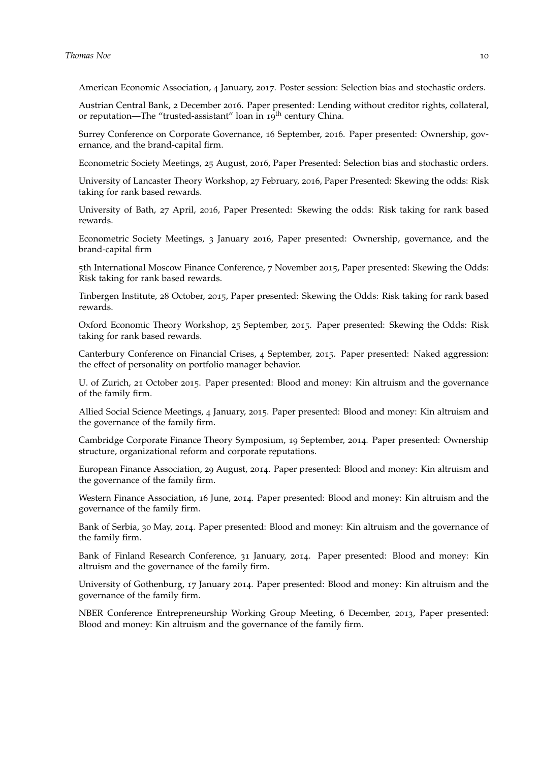American Economic Association, 4 January, 2017. Poster session: Selection bias and stochastic orders.

Austrian Central Bank, 2 December 2016. Paper presented: Lending without creditor rights, collateral, or reputation—The "trusted-assistant" loan in 19<sup>th</sup> century China.

Surrey Conference on Corporate Governance, 16 September, 2016. Paper presented: Ownership, governance, and the brand-capital firm.

Econometric Society Meetings, 25 August, 2016, Paper Presented: Selection bias and stochastic orders.

University of Lancaster Theory Workshop, 27 February, 2016, Paper Presented: Skewing the odds: Risk taking for rank based rewards.

University of Bath, 27 April, 2016, Paper Presented: Skewing the odds: Risk taking for rank based rewards.

Econometric Society Meetings, 3 January 2016, Paper presented: Ownership, governance, and the brand-capital firm

5th International Moscow Finance Conference, 7 November 2015, Paper presented: Skewing the Odds: Risk taking for rank based rewards.

Tinbergen Institute, 28 October, 2015, Paper presented: Skewing the Odds: Risk taking for rank based rewards.

Oxford Economic Theory Workshop, 25 September, 2015. Paper presented: Skewing the Odds: Risk taking for rank based rewards.

Canterbury Conference on Financial Crises, 4 September, 2015. Paper presented: Naked aggression: the effect of personality on portfolio manager behavior.

U. of Zurich, 21 October 2015. Paper presented: Blood and money: Kin altruism and the governance of the family frm.

Allied Social Science Meetings, 4 January, 2015. Paper presented: Blood and money: Kin altruism and the governance of the family frm.

Cambridge Corporate Finance Theory Symposium, 19 September, 2014. Paper presented: Ownership structure, organizational reform and corporate reputations.

European Finance Association, 29 August, 2014. Paper presented: Blood and money: Kin altruism and the governance of the family firm.

Western Finance Association, 16 June, 2014. Paper presented: Blood and money: Kin altruism and the governance of the family frm.

Bank of Serbia, 30 May, 2014. Paper presented: Blood and money: Kin altruism and the governance of the family firm.

Bank of Finland Research Conference, 31 January, 2014. Paper presented: Blood and money: Kin altruism and the governance of the family frm.

University of Gothenburg, 17 January 2014. Paper presented: Blood and money: Kin altruism and the governance of the family frm.

NBER Conference Entrepreneurship Working Group Meeting, 6 December, 2013, Paper presented: Blood and money: Kin altruism and the governance of the family frm.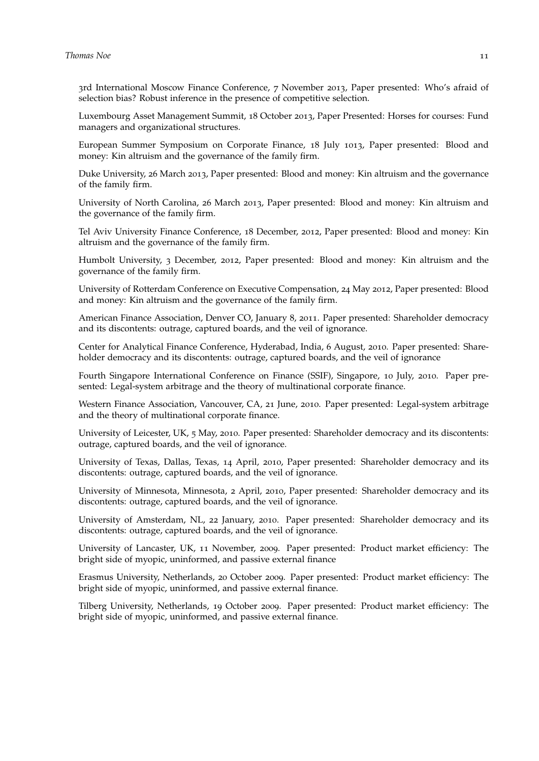3rd International Moscow Finance Conference, 7 November 2013, Paper presented: Who's afraid of selection bias? Robust inference in the presence of competitive selection.

Luxembourg Asset Management Summit, 18 October 2013, Paper Presented: Horses for courses: Fund managers and organizational structures.

European Summer Symposium on Corporate Finance, 18 July 1013, Paper presented: Blood and money: Kin altruism and the governance of the family frm.

Duke University, 26 March 2013, Paper presented: Blood and money: Kin altruism and the governance of the family frm.

University of North Carolina, 26 March 2013, Paper presented: Blood and money: Kin altruism and the governance of the family firm.

Tel Aviv University Finance Conference, 18 December, 2012, Paper presented: Blood and money: Kin altruism and the governance of the family frm.

Humbolt University, 3 December, 2012, Paper presented: Blood and money: Kin altruism and the governance of the family frm.

University of Rotterdam Conference on Executive Compensation, 24 May 2012, Paper presented: Blood and money: Kin altruism and the governance of the family firm.

American Finance Association, Denver CO, January 8, 2011. Paper presented: Shareholder democracy and its discontents: outrage, captured boards, and the veil of ignorance.

Center for Analytical Finance Conference, Hyderabad, India, 6 August, 2010. Paper presented: Shareholder democracy and its discontents: outrage, captured boards, and the veil of ignorance

Fourth Singapore International Conference on Finance (SSIF), Singapore, 10 July, 2010. Paper presented: Legal-system arbitrage and the theory of multinational corporate fnance.

Western Finance Association, Vancouver, CA, 21 June, 2010. Paper presented: Legal-system arbitrage and the theory of multinational corporate fnance.

University of Leicester, UK, 5 May, 2010. Paper presented: Shareholder democracy and its discontents: outrage, captured boards, and the veil of ignorance.

University of Texas, Dallas, Texas, 14 April, 2010, Paper presented: Shareholder democracy and its discontents: outrage, captured boards, and the veil of ignorance.

University of Minnesota, Minnesota, 2 April, 2010, Paper presented: Shareholder democracy and its discontents: outrage, captured boards, and the veil of ignorance.

University of Amsterdam, NL, 22 January, 2010. Paper presented: Shareholder democracy and its discontents: outrage, captured boards, and the veil of ignorance.

University of Lancaster, UK, 11 November, 2009. Paper presented: Product market efficiency: The bright side of myopic, uninformed, and passive external fnance

Erasmus University, Netherlands, 20 October 2009. Paper presented: Product market efficiency: The bright side of myopic, uninformed, and passive external fnance.

Tilberg University, Netherlands, 19 October 2009. Paper presented: Product market efficiency: The bright side of myopic, uninformed, and passive external fnance.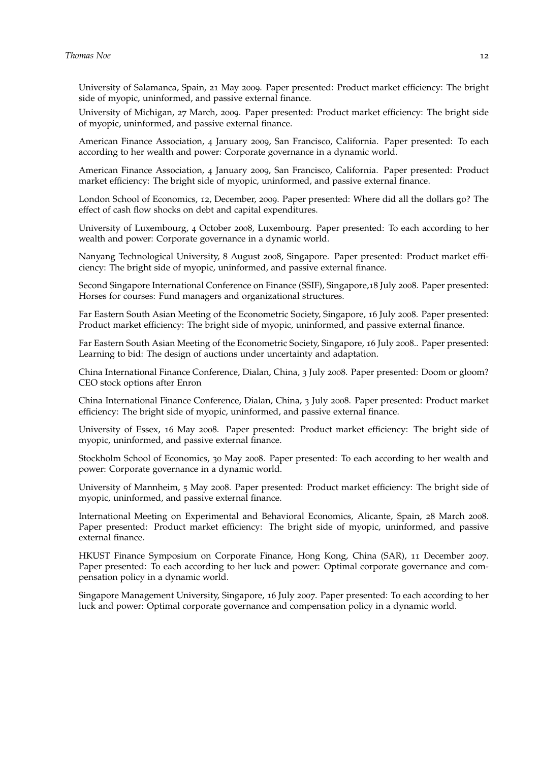University of Salamanca, Spain, 21 May 2009. Paper presented: Product market efficiency: The bright side of myopic, uninformed, and passive external fnance.

University of Michigan, 27 March, 2009. Paper presented: Product market efficiency: The bright side of myopic, uninformed, and passive external fnance.

American Finance Association, 4 January 2009, San Francisco, California. Paper presented: To each according to her wealth and power: Corporate governance in a dynamic world.

American Finance Association, 4 January 2009, San Francisco, California. Paper presented: Product market efficiency: The bright side of myopic, uninformed, and passive external finance.

London School of Economics, 12, December, 2009. Paper presented: Where did all the dollars go? The effect of cash flow shocks on debt and capital expenditures.

University of Luxembourg, 4 October 2008, Luxembourg. Paper presented: To each according to her wealth and power: Corporate governance in a dynamic world.

Nanyang Technological University, 8 August 2008, Singapore. Paper presented: Product market efficiency: The bright side of myopic, uninformed, and passive external finance.

Second Singapore International Conference on Finance (SSIF), Singapore,18 July 2008. Paper presented: Horses for courses: Fund managers and organizational structures.

Far Eastern South Asian Meeting of the Econometric Society, Singapore, 16 July 2008. Paper presented: Product market efficiency: The bright side of myopic, uninformed, and passive external finance.

Far Eastern South Asian Meeting of the Econometric Society, Singapore, 16 July 2008.. Paper presented: Learning to bid: The design of auctions under uncertainty and adaptation.

China International Finance Conference, Dialan, China, 3 July 2008. Paper presented: Doom or gloom? CEO stock options after Enron

China International Finance Conference, Dialan, China, 3 July 2008. Paper presented: Product market efficiency: The bright side of myopic, uninformed, and passive external finance.

University of Essex, 16 May 2008. Paper presented: Product market efficiency: The bright side of myopic, uninformed, and passive external fnance.

Stockholm School of Economics, 30 May 2008. Paper presented: To each according to her wealth and power: Corporate governance in a dynamic world.

University of Mannheim, 5 May 2008. Paper presented: Product market efficiency: The bright side of myopic, uninformed, and passive external finance.

International Meeting on Experimental and Behavioral Economics, Alicante, Spain, 28 March 2008. Paper presented: Product market efficiency: The bright side of myopic, uninformed, and passive external finance.

HKUST Finance Symposium on Corporate Finance, Hong Kong, China (SAR), 11 December 2007. Paper presented: To each according to her luck and power: Optimal corporate governance and compensation policy in a dynamic world.

Singapore Management University, Singapore, 16 July 2007. Paper presented: To each according to her luck and power: Optimal corporate governance and compensation policy in a dynamic world.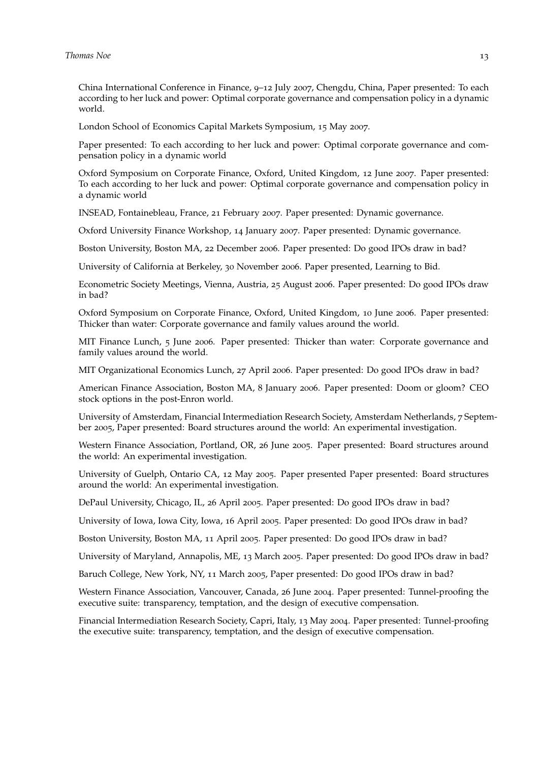China International Conference in Finance, 9–12 July 2007, Chengdu, China, Paper presented: To each according to her luck and power: Optimal corporate governance and compensation policy in a dynamic world.

London School of Economics Capital Markets Symposium, 15 May 2007.

Paper presented: To each according to her luck and power: Optimal corporate governance and compensation policy in a dynamic world

Oxford Symposium on Corporate Finance, Oxford, United Kingdom, 12 June 2007. Paper presented: To each according to her luck and power: Optimal corporate governance and compensation policy in a dynamic world

INSEAD, Fontainebleau, France, 21 February 2007. Paper presented: Dynamic governance.

Oxford University Finance Workshop, 14 January 2007. Paper presented: Dynamic governance.

Boston University, Boston MA, 22 December 2006. Paper presented: Do good IPOs draw in bad?

University of California at Berkeley, 30 November 2006. Paper presented, Learning to Bid.

Econometric Society Meetings, Vienna, Austria, 25 August 2006. Paper presented: Do good IPOs draw in bad?

Oxford Symposium on Corporate Finance, Oxford, United Kingdom, 10 June 2006. Paper presented: Thicker than water: Corporate governance and family values around the world.

MIT Finance Lunch, 5 June 2006. Paper presented: Thicker than water: Corporate governance and family values around the world.

MIT Organizational Economics Lunch, 27 April 2006. Paper presented: Do good IPOs draw in bad?

American Finance Association, Boston MA, 8 January 2006. Paper presented: Doom or gloom? CEO stock options in the post-Enron world.

University of Amsterdam, Financial Intermediation Research Society, Amsterdam Netherlands, 7 September 2005, Paper presented: Board structures around the world: An experimental investigation.

Western Finance Association, Portland, OR, 26 June 2005. Paper presented: Board structures around the world: An experimental investigation.

University of Guelph, Ontario CA, 12 May 2005. Paper presented Paper presented: Board structures around the world: An experimental investigation.

DePaul University, Chicago, IL, 26 April 2005. Paper presented: Do good IPOs draw in bad?

University of Iowa, Iowa City, Iowa, 16 April 2005. Paper presented: Do good IPOs draw in bad?

Boston University, Boston MA, 11 April 2005. Paper presented: Do good IPOs draw in bad?

University of Maryland, Annapolis, ME, 13 March 2005. Paper presented: Do good IPOs draw in bad?

Baruch College, New York, NY, 11 March 2005, Paper presented: Do good IPOs draw in bad?

Western Finance Association, Vancouver, Canada, 26 June 2004. Paper presented: Tunnel-proofng the executive suite: transparency, temptation, and the design of executive compensation.

Financial Intermediation Research Society, Capri, Italy, 13 May 2004. Paper presented: Tunnel-proofng the executive suite: transparency, temptation, and the design of executive compensation.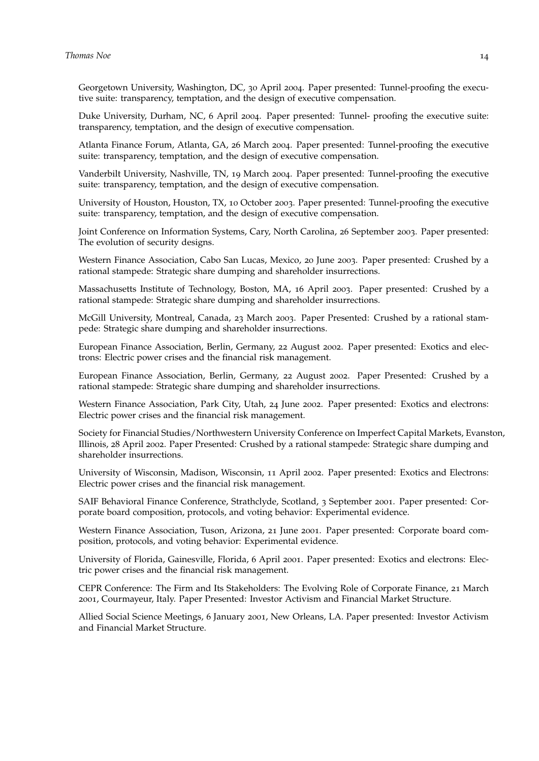Georgetown University, Washington, DC, 30 April 2004. Paper presented: Tunnel-proofng the executive suite: transparency, temptation, and the design of executive compensation.

Duke University, Durham, NC, 6 April 2004. Paper presented: Tunnel- proofng the executive suite: transparency, temptation, and the design of executive compensation.

Atlanta Finance Forum, Atlanta, GA, 26 March 2004. Paper presented: Tunnel-proofing the executive suite: transparency, temptation, and the design of executive compensation.

Vanderbilt University, Nashville, TN, 19 March 2004. Paper presented: Tunnel-proofng the executive suite: transparency, temptation, and the design of executive compensation.

University of Houston, Houston, TX, 10 October 2003. Paper presented: Tunnel-proofng the executive suite: transparency, temptation, and the design of executive compensation.

Joint Conference on Information Systems, Cary, North Carolina, 26 September 2003. Paper presented: The evolution of security designs.

Western Finance Association, Cabo San Lucas, Mexico, 20 June 2003. Paper presented: Crushed by a rational stampede: Strategic share dumping and shareholder insurrections.

Massachusetts Institute of Technology, Boston, MA, 16 April 2003. Paper presented: Crushed by a rational stampede: Strategic share dumping and shareholder insurrections.

McGill University, Montreal, Canada, 23 March 2003. Paper Presented: Crushed by a rational stampede: Strategic share dumping and shareholder insurrections.

European Finance Association, Berlin, Germany, 22 August 2002. Paper presented: Exotics and electrons: Electric power crises and the fnancial risk management.

European Finance Association, Berlin, Germany, 22 August 2002. Paper Presented: Crushed by a rational stampede: Strategic share dumping and shareholder insurrections.

Western Finance Association, Park City, Utah, 24 June 2002. Paper presented: Exotics and electrons: Electric power crises and the fnancial risk management.

Society for Financial Studies/Northwestern University Conference on Imperfect Capital Markets, Evanston, Illinois, 28 April 2002. Paper Presented: Crushed by a rational stampede: Strategic share dumping and shareholder insurrections.

University of Wisconsin, Madison, Wisconsin, 11 April 2002. Paper presented: Exotics and Electrons: Electric power crises and the fnancial risk management.

SAIF Behavioral Finance Conference, Strathclyde, Scotland, 3 September 2001. Paper presented: Corporate board composition, protocols, and voting behavior: Experimental evidence.

Western Finance Association, Tuson, Arizona, 21 June 2001. Paper presented: Corporate board composition, protocols, and voting behavior: Experimental evidence.

University of Florida, Gainesville, Florida, 6 April 2001. Paper presented: Exotics and electrons: Electric power crises and the fnancial risk management.

CEPR Conference: The Firm and Its Stakeholders: The Evolving Role of Corporate Finance, 21 March 2001, Courmayeur, Italy. Paper Presented: Investor Activism and Financial Market Structure.

Allied Social Science Meetings, 6 January 2001, New Orleans, LA. Paper presented: Investor Activism and Financial Market Structure.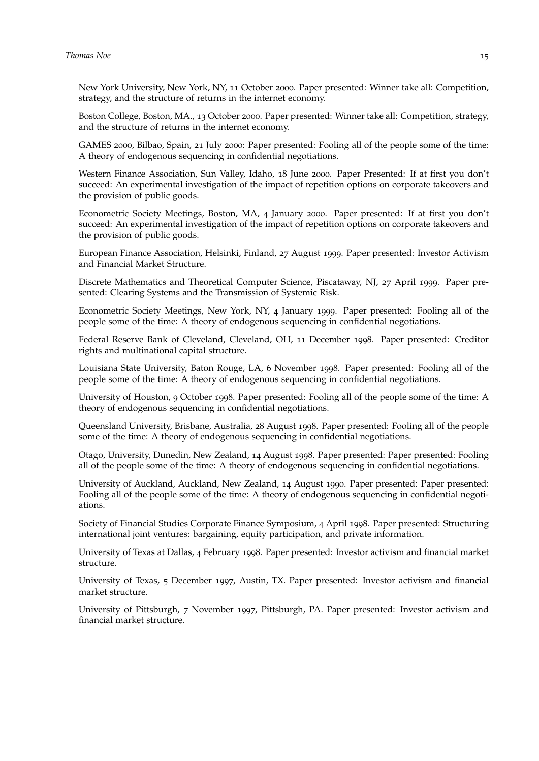New York University, New York, NY, 11 October 2000. Paper presented: Winner take all: Competition, strategy, and the structure of returns in the internet economy.

Boston College, Boston, MA., 13 October 2000. Paper presented: Winner take all: Competition, strategy, and the structure of returns in the internet economy.

GAMES 2000, Bilbao, Spain, 21 July 2000: Paper presented: Fooling all of the people some of the time: A theory of endogenous sequencing in confidential negotiations.

Western Finance Association, Sun Valley, Idaho, 18 June 2000. Paper Presented: If at first you don't succeed: An experimental investigation of the impact of repetition options on corporate takeovers and the provision of public goods.

Econometric Society Meetings, Boston, MA, 4 January 2000. Paper presented: If at first you don't succeed: An experimental investigation of the impact of repetition options on corporate takeovers and the provision of public goods.

European Finance Association, Helsinki, Finland, 27 August 1999. Paper presented: Investor Activism and Financial Market Structure.

Discrete Mathematics and Theoretical Computer Science, Piscataway, NJ, 27 April 1999. Paper presented: Clearing Systems and the Transmission of Systemic Risk.

Econometric Society Meetings, New York, NY, 4 January 1999. Paper presented: Fooling all of the people some of the time: A theory of endogenous sequencing in confdential negotiations.

Federal Reserve Bank of Cleveland, Cleveland, OH, 11 December 1998. Paper presented: Creditor rights and multinational capital structure.

Louisiana State University, Baton Rouge, LA, 6 November 1998. Paper presented: Fooling all of the people some of the time: A theory of endogenous sequencing in confidential negotiations.

University of Houston, 9 October 1998. Paper presented: Fooling all of the people some of the time: A theory of endogenous sequencing in confidential negotiations.

Queensland University, Brisbane, Australia, 28 August 1998. Paper presented: Fooling all of the people some of the time: A theory of endogenous sequencing in confidential negotiations.

Otago, University, Dunedin, New Zealand, 14 August 1998. Paper presented: Paper presented: Fooling all of the people some of the time: A theory of endogenous sequencing in confdential negotiations.

University of Auckland, Auckland, New Zealand, 14 August 1990. Paper presented: Paper presented: Fooling all of the people some of the time: A theory of endogenous sequencing in confidential negotiations.

Society of Financial Studies Corporate Finance Symposium, 4 April 1998. Paper presented: Structuring international joint ventures: bargaining, equity participation, and private information.

University of Texas at Dallas, 4 February 1998. Paper presented: Investor activism and fnancial market structure.

University of Texas, 5 December 1997, Austin, TX. Paper presented: Investor activism and fnancial market structure.

University of Pittsburgh, 7 November 1997, Pittsburgh, PA. Paper presented: Investor activism and fnancial market structure.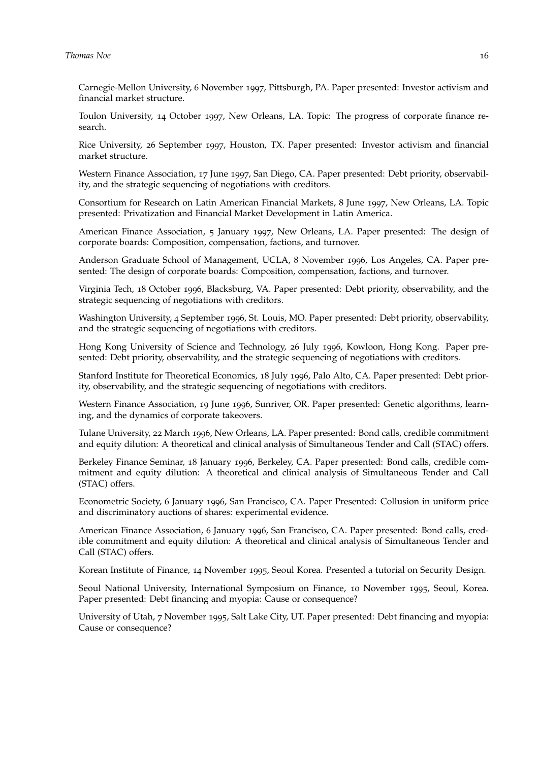#### **Thomas** Noe 16

Carnegie-Mellon University, 6 November 1997, Pittsburgh, PA. Paper presented: Investor activism and fnancial market structure.

Toulon University, 14 October 1997, New Orleans, LA. Topic: The progress of corporate fnance research.

Rice University, 26 September 1997, Houston, TX. Paper presented: Investor activism and fnancial market structure.

Western Finance Association, 17 June 1997, San Diego, CA. Paper presented: Debt priority, observability, and the strategic sequencing of negotiations with creditors.

Consortium for Research on Latin American Financial Markets, 8 June 1997, New Orleans, LA. Topic presented: Privatization and Financial Market Development in Latin America.

American Finance Association, 5 January 1997, New Orleans, LA. Paper presented: The design of corporate boards: Composition, compensation, factions, and turnover.

Anderson Graduate School of Management, UCLA, 8 November 1996, Los Angeles, CA. Paper presented: The design of corporate boards: Composition, compensation, factions, and turnover.

Virginia Tech, 18 October 1996, Blacksburg, VA. Paper presented: Debt priority, observability, and the strategic sequencing of negotiations with creditors.

Washington University, 4 September 1996, St. Louis, MO. Paper presented: Debt priority, observability, and the strategic sequencing of negotiations with creditors.

Hong Kong University of Science and Technology, 26 July 1996, Kowloon, Hong Kong. Paper presented: Debt priority, observability, and the strategic sequencing of negotiations with creditors.

Stanford Institute for Theoretical Economics, 18 July 1996, Palo Alto, CA. Paper presented: Debt priority, observability, and the strategic sequencing of negotiations with creditors.

Western Finance Association, 19 June 1996, Sunriver, OR. Paper presented: Genetic algorithms, learning, and the dynamics of corporate takeovers.

Tulane University, 22 March 1996, New Orleans, LA. Paper presented: Bond calls, credible commitment and equity dilution: A theoretical and clinical analysis of Simultaneous Tender and Call (STAC) offers.

Berkeley Finance Seminar, 18 January 1996, Berkeley, CA. Paper presented: Bond calls, credible commitment and equity dilution: A theoretical and clinical analysis of Simultaneous Tender and Call (STAC) offers.

Econometric Society, 6 January 1996, San Francisco, CA. Paper Presented: Collusion in uniform price and discriminatory auctions of shares: experimental evidence.

American Finance Association, 6 January 1996, San Francisco, CA. Paper presented: Bond calls, credible commitment and equity dilution: A theoretical and clinical analysis of Simultaneous Tender and Call (STAC) offers.

Korean Institute of Finance, 14 November 1995, Seoul Korea. Presented a tutorial on Security Design.

Seoul National University, International Symposium on Finance, 10 November 1995, Seoul, Korea. Paper presented: Debt financing and myopia: Cause or consequence?

University of Utah, 7 November 1995, Salt Lake City, UT. Paper presented: Debt fnancing and myopia: Cause or consequence?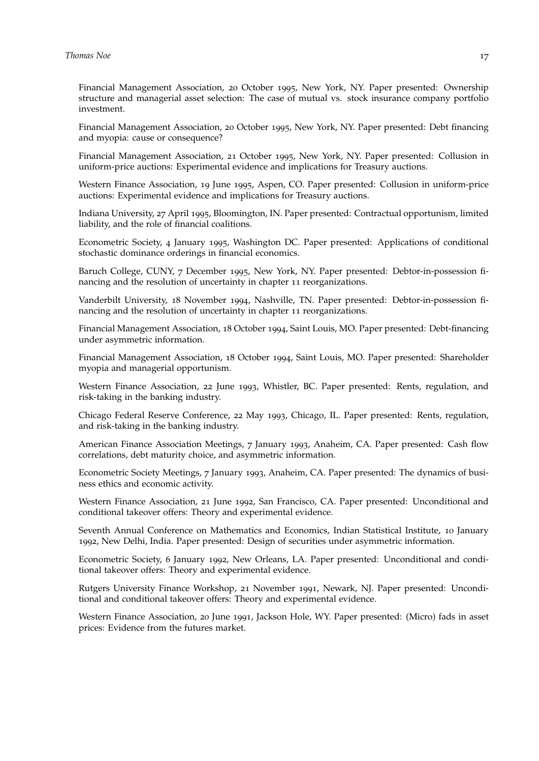Financial Management Association, 20 October 1995, New York, NY. Paper presented: Ownership structure and managerial asset selection: The case of mutual vs. stock insurance company portfolio investment.

Financial Management Association, 20 October 1995, New York, NY. Paper presented: Debt fnancing and myopia: cause or consequence?

Financial Management Association, 21 October 1995, New York, NY. Paper presented: Collusion in uniform-price auctions: Experimental evidence and implications for Treasury auctions.

Western Finance Association, 19 June 1995, Aspen, CO. Paper presented: Collusion in uniform-price auctions: Experimental evidence and implications for Treasury auctions.

Indiana University, 27 April 1995, Bloomington, IN. Paper presented: Contractual opportunism, limited liability, and the role of fnancial coalitions.

Econometric Society, 4 January 1995, Washington DC. Paper presented: Applications of conditional stochastic dominance orderings in financial economics.

Baruch College, CUNY, 7 December 1995, New York, NY. Paper presented: Debtor-in-possession financing and the resolution of uncertainty in chapter 11 reorganizations.

Vanderbilt University, 18 November 1994, Nashville, TN. Paper presented: Debtor-in-possession financing and the resolution of uncertainty in chapter 11 reorganizations.

Financial Management Association, 18 October 1994, Saint Louis, MO. Paper presented: Debt-fnancing under asymmetric information.

Financial Management Association, 18 October 1994, Saint Louis, MO. Paper presented: Shareholder myopia and managerial opportunism.

Western Finance Association, 22 June 1993, Whistler, BC. Paper presented: Rents, regulation, and risk-taking in the banking industry.

Chicago Federal Reserve Conference, 22 May 1993, Chicago, IL. Paper presented: Rents, regulation, and risk-taking in the banking industry.

American Finance Association Meetings, 7 January 1993, Anaheim, CA. Paper presented: Cash fow correlations, debt maturity choice, and asymmetric information.

Econometric Society Meetings, 7 January 1993, Anaheim, CA. Paper presented: The dynamics of business ethics and economic activity.

Western Finance Association, 21 June 1992, San Francisco, CA. Paper presented: Unconditional and conditional takeover offers: Theory and experimental evidence.

Seventh Annual Conference on Mathematics and Economics, Indian Statistical Institute, 10 January 1992, New Delhi, India. Paper presented: Design of securities under asymmetric information.

Econometric Society, 6 January 1992, New Orleans, LA. Paper presented: Unconditional and conditional takeover offers: Theory and experimental evidence.

Rutgers University Finance Workshop, 21 November 1991, Newark, NJ. Paper presented: Unconditional and conditional takeover offers: Theory and experimental evidence.

Western Finance Association, 20 June 1991, Jackson Hole, WY. Paper presented: (Micro) fads in asset prices: Evidence from the futures market.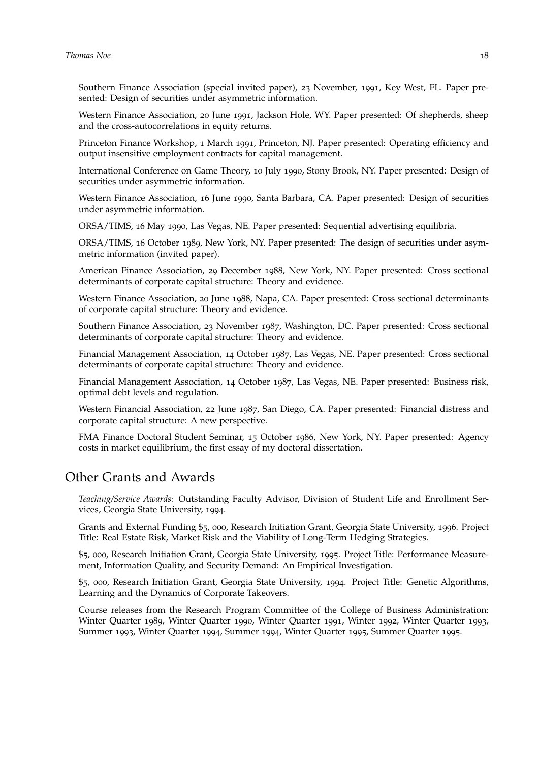Southern Finance Association (special invited paper), 23 November, 1991, Key West, FL. Paper presented: Design of securities under asymmetric information.

Western Finance Association, 20 June 1991, Jackson Hole, WY. Paper presented: Of shepherds, sheep and the cross-autocorrelations in equity returns.

Princeton Finance Workshop, 1 March 1991, Princeton, NJ. Paper presented: Operating efficiency and output insensitive employment contracts for capital management.

International Conference on Game Theory, 10 July 1990, Stony Brook, NY. Paper presented: Design of securities under asymmetric information.

Western Finance Association, 16 June 1990, Santa Barbara, CA. Paper presented: Design of securities under asymmetric information.

ORSA/TIMS, 16 May 1990, Las Vegas, NE. Paper presented: Sequential advertising equilibria.

ORSA/TIMS, 16 October 1989, New York, NY. Paper presented: The design of securities under asymmetric information (invited paper).

American Finance Association, 29 December 1988, New York, NY. Paper presented: Cross sectional determinants of corporate capital structure: Theory and evidence.

Western Finance Association, 20 June 1988, Napa, CA. Paper presented: Cross sectional determinants of corporate capital structure: Theory and evidence.

Southern Finance Association, 23 November 1987, Washington, DC. Paper presented: Cross sectional determinants of corporate capital structure: Theory and evidence.

Financial Management Association, 14 October 1987, Las Vegas, NE. Paper presented: Cross sectional determinants of corporate capital structure: Theory and evidence.

Financial Management Association, 14 October 1987, Las Vegas, NE. Paper presented: Business risk, optimal debt levels and regulation.

Western Financial Association, 22 June 1987, San Diego, CA. Paper presented: Financial distress and corporate capital structure: A new perspective.

FMA Finance Doctoral Student Seminar, 15 October 1986, New York, NY. Paper presented: Agency costs in market equilibrium, the frst essay of my doctoral dissertation.

# Other Grants and Awards

*Teaching/Service Awards:* Outstanding Faculty Advisor, Division of Student Life and Enrollment Services, Georgia State University, 1994.

Grants and External Funding \$5, 000, Research Initiation Grant, Georgia State University, 1996. Project Title: Real Estate Risk, Market Risk and the Viability of Long-Term Hedging Strategies.

\$5, 000, Research Initiation Grant, Georgia State University, 1995. Project Title: Performance Measurement, Information Quality, and Security Demand: An Empirical Investigation.

\$5, 000, Research Initiation Grant, Georgia State University, 1994. Project Title: Genetic Algorithms, Learning and the Dynamics of Corporate Takeovers.

Course releases from the Research Program Committee of the College of Business Administration: Winter Quarter 1989, Winter Quarter 1990, Winter Quarter 1991, Winter 1992, Winter Quarter 1993, Summer 1993, Winter Quarter 1994, Summer 1994, Winter Quarter 1995, Summer Quarter 1995.